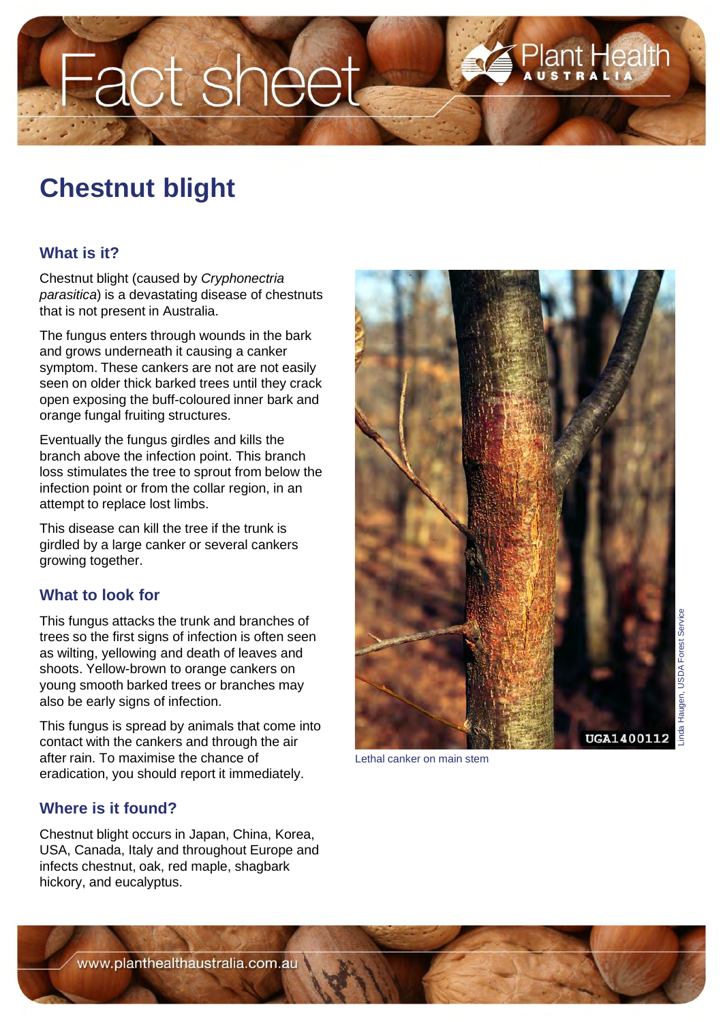# Fact sheet

## **Chestnut blight**

### **What is it?**

Chestnut blight (caused by *Cryphonectria parasitica*) is a devastating disease of chestnuts that is not present in Australia.

The fungus enters through wounds in the bark and grows underneath it causing a canker symptom. These cankers are not are not easily seen on older thick barked trees until they crack open exposing the buff-coloured inner bark and orange fungal fruiting structures.

Eventually the fungus girdles and kills the branch above the infection point. This branch loss stimulates the tree to sprout from below the infection point or from the collar region, in an attempt to replace lost limbs.

This disease can kill the tree if the trunk is girdled by a large canker or several cankers growing together.

#### **What to look for**

This fungus attacks the trunk and branches of trees so the first signs of infection is often seen as wilting, yellowing and death of leaves and shoots. Yellow-brown to orange cankers on young smooth barked trees or branches may also be early signs of infection.

This fungus is spread by animals that come into contact with the cankers and through the air after rain. To maximise the chance of eradication, you should report it immediately.

#### **Where is it found?**

Chestnut blight occurs in Japan, China, Korea, USA, Canada, Italy and throughout Europe and infects chestnut, oak, red maple, shagbark hickory, and eucalyptus.



Lethal canker on main stem

www.planthealthaustralia.com.au